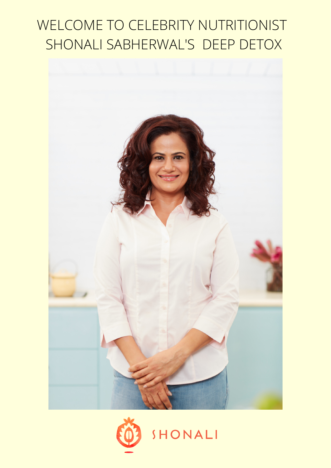## WELCOME TO CELEBRITY NUTRITIONIST SHONALI SABHERWAL'S DEEP DETOX



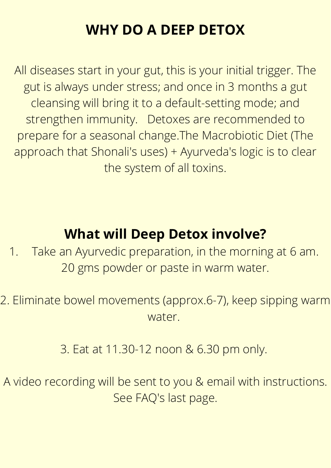### **WHY DO A DEEP DETOX**

All diseases start in your gut, this is your initial trigger. The gut is always under stress; and once in 3 months a gut cleansing will bring it to a default-setting mode; and strengthen immunity. Detoxes are recommended to prepare for a seasonal change.The Macrobiotic Diet (The approach that Shonali's uses) + Ayurveda's logic is to clear the system of all toxins.

1. Take an Ayurvedic preparation, in the morning at 6 am. 20 gms powder or paste in warm water.

### **What will Deep Detox involve?**

2. Eliminate bowel movements (approx.6-7), keep sipping warm water.

#### 3. Eat at 11.30-12 noon & 6.30 pm only.

A video recording will be sent to you & email with instructions. See FAQ's last page.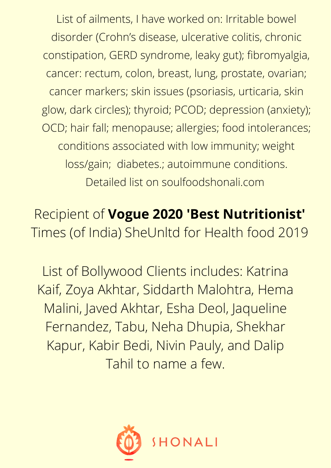List of ailments, I have worked on: Irritable bowel disorder (Crohn's disease, ulcerative colitis, chronic constipation, GERD syndrome, leaky gut); fibromyalgia, cancer: rectum, colon, breast, lung, prostate, ovarian; cancer markers; skin issues (psoriasis, urticaria, skin glow, dark circles); thyroid; PCOD; depression (anxiety); OCD; hair fall; menopause; allergies; food intolerances; conditions associated with low immunity; weight loss/gain; diabetes.; autoimmune conditions. Detailed list on soulfoodshonali.com

Recipient of **Vogue 2020 'Best Nutritionist'** Times (of India) SheUnltd for Health food 2019

List of Bollywood Clients includes: Katrina Kaif, Zoya Akhtar, Siddarth Malohtra, Hema Malini, Javed Akhtar, Esha Deol, Jaqueline Fernandez, Tabu, Neha Dhupia, Shekhar Kapur, Kabir Bedi, Nivin Pauly, and Dalip Tahil to name a few.

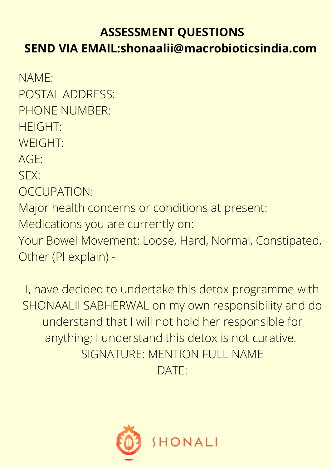#### **ASSESSMENT QUESTIONS**

#### **SEND VIA EMAIL:shonaalii@macrobioticsindia.com**

I, have decided to undertake this detox programme with SHONAALII SABHERWAL on my own responsibility and do understand that I will not hold her responsible for anything; I understand this detox is not curative. SIGNATURE: MENTION FULL NAME DATE:



NAME: POSTAL ADDRESS: PHONE NUMBER: HEIGHT: WEIGHT: AGE: SEX: OCCUPATION: Major health concerns or conditions at present: Medications you are currently on: Your Bowel Movement: Loose, Hard, Normal, Constipated,

Other (Pl explain) -